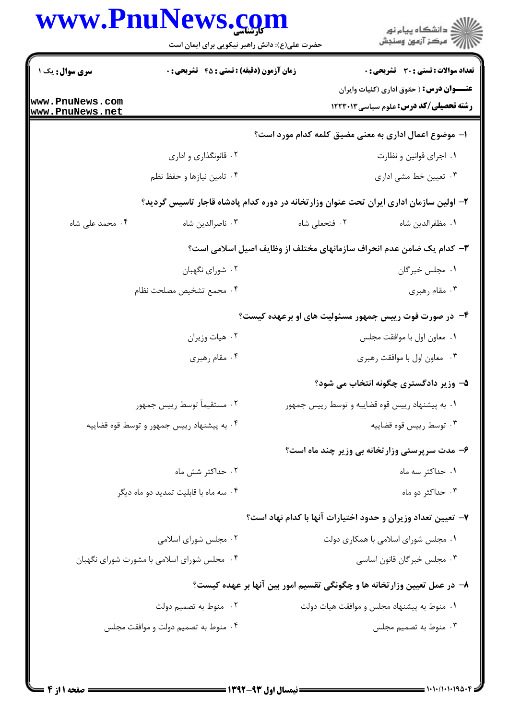|                                    | www.PnuNews.com<br>حضرت علی(ع): دانش راهبر نیکویی برای ایمان است                       |               | ر<br>دانشڪاه پيام نور)<br>ا∛ مرڪز آزمون وسنڊش                                                     |  |  |
|------------------------------------|----------------------------------------------------------------------------------------|---------------|---------------------------------------------------------------------------------------------------|--|--|
| <b>سری سوال :</b> یک ۱             | <b>زمان آزمون (دقیقه) : تستی : 45 گشریحی : 0</b>                                       |               | <b>تعداد سوالات : تستي : 30 ٪ تشريحي : 0</b><br><b>عنــــوان درس :</b> ( حقوق اداری (کلیات وایران |  |  |
| www.PnuNews.com<br>www.PnuNews.net |                                                                                        |               | <b>رشته تحصیلی/کد درس:</b> علوم سیاسی ۱۲۲۳۰۱۳                                                     |  |  |
|                                    | ا– موضوع اعمال اداری به معنی مضیق کلمه کدام مورد است؟                                  |               |                                                                                                   |  |  |
|                                    | ۰۲ قانونگذاری و اداری                                                                  |               | ٠١. اجراى قوانين و نظارت                                                                          |  |  |
|                                    | ۰۴ تامین نیازها و حفظ نظم                                                              |               | ۰۳ تعیین خط مشی اداری                                                                             |  |  |
|                                    | ۲– اولین سازمان اداری ایران تحت عنوان وزارتخانه در دوره کدام پادشاه قاجار تاسیس گردید؟ |               |                                                                                                   |  |  |
| ۰۴ محمد علی شاه                    | ۰۳ ناصرالدين شاه                                                                       | ٠٢ فتحعلي شاه | ٠١. مظفرالدين شاه                                                                                 |  |  |
|                                    |                                                                                        |               | ۳- کدام یک ضامن عدم انحراف سازمانهای مختلف از وظایف اصیل اسلامی است؟                              |  |  |
|                                    | ۰۲ شورای نگهبان                                                                        |               | ۰۱ مجلس خبرگان                                                                                    |  |  |
|                                    | ۰۴ مجمع تشخيص مصلحت نظام                                                               |               | ۰۳ مقام رهبری                                                                                     |  |  |
|                                    |                                                                                        |               | ۴- در صورت فوت رییس جمهور مسئولیت های او برعهده کیست؟                                             |  |  |
|                                    | ۰۲ هیات وزیران                                                                         |               | ٠١ معاون اول با موافقت مجلس                                                                       |  |  |
|                                    | ۰۴ مقام رهبری                                                                          |               | ۰۳ معاون اول با موافقت رهبري                                                                      |  |  |
|                                    |                                                                                        |               | ۵– وزیر دادگستری چگونه انتخاب می شود؟                                                             |  |  |
|                                    | ٠٢ مستقيماً توسط رييس جمهور                                                            |               | ۰۱ به پیشنهاد رییس قوه قضاییه و توسط رییس جمهور                                                   |  |  |
|                                    | ۰۴ به پیشنهاد رییس جمهور و توسط قوه قضاییه                                             |               | ۰۳ توسط رييس قوه قضاييه                                                                           |  |  |
|                                    |                                                                                        |               | ۶– مدت سرپرستی وزارتخانه بی وزیر چند ماه است؟                                                     |  |  |
|                                    | ۰۲ حداکثر شش ماه                                                                       |               | ۰۱ حداکثر سه ماه                                                                                  |  |  |
|                                    | ۰۴ سه ماه با قابلیت تمدید دو ماه دیگر                                                  |               | ۰۳ حداکثر دو ماه                                                                                  |  |  |
|                                    |                                                                                        |               | ۷– تعیین تعداد وزیران و حدود اختیارات آنها با کدام نهاد است؟                                      |  |  |
|                                    | ۰۲ مجلس شورای اسلامی                                                                   |               | ۰۱ مجلس شورای اسلامی با همکاری دولت                                                               |  |  |
|                                    | ۰۴ مجلس شورای اسلامی با مشورت شورای نگهبان                                             |               | ۰۳ مجلس خبرگان قانون اساسی                                                                        |  |  |
|                                    |                                                                                        |               | ۸– در عمل تعیین وزارتخانه ها و چگونگی تقسیم امور بین آنها بر عهده کیست؟                           |  |  |
|                                    | ۰۲ منوط به تصمیم دولت                                                                  |               | ٠١ منوط به پیشنهاد مجلس و موافقت هیات دولت                                                        |  |  |
|                                    | ۰۴ منوط به تصمیم دولت و موافقت مجلس                                                    |               | ۰۳ منوط به تصمیم مجلس                                                                             |  |  |
|                                    |                                                                                        |               |                                                                                                   |  |  |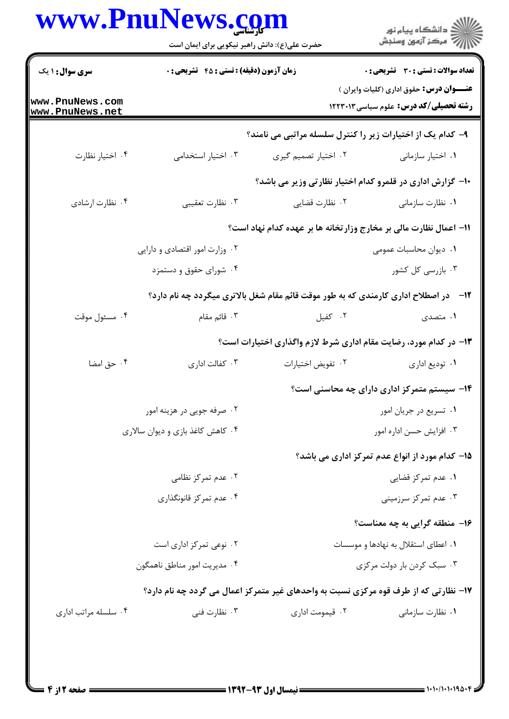| www.PnuNews.com                    | حضرت علی(ع): دانش راهبر نیکویی برای ایمان است |                      |                                                                                                  |
|------------------------------------|-----------------------------------------------|----------------------|--------------------------------------------------------------------------------------------------|
| <b>سری سوال : ۱ یک</b>             | زمان آزمون (دقیقه) : تستی : 45 آتشریحی : 0    |                      | <b>تعداد سوالات : تستی : 30 ٪ تشریحی : 0</b>                                                     |
| www.PnuNews.com<br>www.PnuNews.net |                                               |                      | <b>عنـــوان درس:</b> حقوق اداری (کلیات وایران )<br><b>رشته تحصیلی/کد درس:</b> علوم سیاسی ۱۲۲۳۰۱۳ |
|                                    |                                               |                      | ۹- کدام یک از اختیارات زیر را کنترل سلسله مراتبی می نامند؟                                       |
| ۰۴ اختیار نظارت                    | ۰۳ اختیار استخدامی                            | ۰۲ اختیار تصمیم گیری | ٠١ اختيار سازماني                                                                                |
|                                    |                                               |                      | ∙ا− گزارش اداری در قلمرو کدام اختیار نظارتی وزیر می باشد؟                                        |
| ۰۴ نظارت ارشادي                    | ۰۳ نظارت تعقيبي                               | ۰۲ نظارت قضایی       | ٠١ نظارت سازماني                                                                                 |
|                                    |                                               |                      | 11– اعمال نظارت مالی بر مخارج وزارتخانه ها بر عهده کدام نهاد است؟                                |
|                                    | ۰۲ وزارت امور اقتصادی و دارایی                |                      | ۰۱ دیوان محاسبات عمومی                                                                           |
|                                    | ۰۴ شورای حقوق و دستمزد                        |                      | ۰۳ بازرسی کل کشور                                                                                |
|                                    |                                               |                      | ۱۲- در اصطلاح اداری کارمندی که به طور موقت قائم مقام شغل بالاتری میگردد چه نام دارد؟             |
| ۰۴ مسئول موقت                      | ۰۳ قائم مقام                                  | ۰۲ کفیل              | ۱. متصدی                                                                                         |
|                                    |                                               |                      | ۱۳- در کدام مورد، رضایت مقام اداری شرط لازم واگذاری اختیارات است؟                                |
| ۰۴ حق امضا                         | ۰۳ کفالت اداری                                | ٠٢ تفويض اختيارات    | ۰۱ توديع اداري                                                                                   |
|                                    |                                               |                      | ۱۴– سیستم متمرکز اداری دارای چه محاسنی است؟                                                      |
|                                    | ۰۲ صرفه جویی در هزینه امور                    |                      | ٠١ تسريع در جريان امور                                                                           |
|                                    | ۰۴ کاهش کاغذ بازی و دیوان سالاری              |                      | ۰۳ افزايش حسن اداره امور                                                                         |
|                                    |                                               |                      | 1۵– کدام مورد از انواع عدم تمرکز اداری می باشد؟                                                  |
|                                    | ۰۲ عدم تمرکز نظامی                            |                      | ۰۱ عدم تمرکز قضایی                                                                               |
|                                    | ۰۴ عدم تمرکز قانونگذاری                       |                      | ۰۳ عدم تمرکز سرزمینی                                                                             |
|                                    |                                               |                      | ۱۶- منطقه گرایی به چه معناست؟                                                                    |
|                                    | ۰۲ نوعی تمرکز اداری است                       |                      | ۰۱ اعطای استقلال به نهادها و موسسات                                                              |
|                                    | ۰۴ مديريت امور مناطق ناهمگون                  |                      | ۰۳ سبک کردن بار دولت مرکزی                                                                       |
|                                    |                                               |                      | ۱۷- نظارتی که از طرف قوه مرکزی نسبت به واحدهای غیر متمرکز اعمال می گردد چه نام دارد؟             |
| ۰۴ سلسله مراتب اداری               | ۰۳ نظارت فنی                                  | ۰۲ قیمومت اداری      | ۰۱ نظارت سازمانی                                                                                 |
|                                    |                                               |                      |                                                                                                  |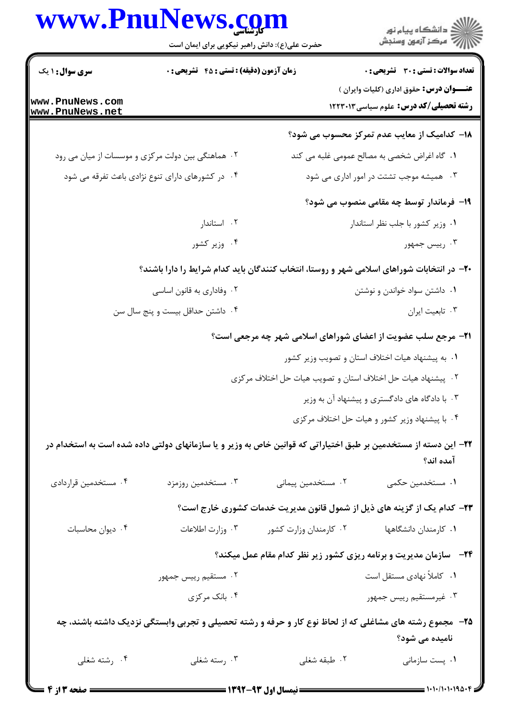## www.PnuNews.com

|                                                   | www.PnuNews.com<br>حضرت علی(ع): دانش راهبر نیکویی برای ایمان است | ڪ دانشڪاه پيام نور<br>/> مرڪز آزمون وسنڊش                                                                                    |
|---------------------------------------------------|------------------------------------------------------------------|------------------------------------------------------------------------------------------------------------------------------|
| <b>سری سوال : ۱ یک</b>                            | <b>زمان آزمون (دقیقه) : تستی : 45 گشریحی : 0</b>                 | <b>تعداد سوالات : تستی : 30 - تشریحی : 0</b>                                                                                 |
| ww.PnuNews.com<br>ww.PnuNews.net                  |                                                                  | عنـــوان درس: حقوق اداری (کلیات وایران )<br>رشته تحصیلی/کد درس: علوم سیاسی ۱۲۲۳۰۱۳                                           |
|                                                   |                                                                  | 1۸– کدامیک از معایب عدم تمرکز محسوب می شود؟                                                                                  |
| ۰۲ هماهنگی بین دولت مرکزی و موسسات از میان می رود |                                                                  | ٠١. كاه اغراض شخصى به مصالح عمومى غلبه مى كند                                                                                |
|                                                   | ۰۴ در کشورهای دارای تنوع نژادی باعث تفرقه می شود                 | ۰۳ همیشه موجب تشتت در امور اداری می شود                                                                                      |
|                                                   |                                                                  | ۱۹- فرماندار توسط چه مقامی منصوب می شود؟                                                                                     |
|                                                   | ۰۲ استاندار                                                      | ٠١. وزير كشور با جلب نظر استاندار                                                                                            |
|                                                   | ۰۴ وزیر کشور                                                     | ۰۳ رییس جمهور                                                                                                                |
|                                                   |                                                                  | +۲- در انتخابات شوراهای اسلامی شهر و روستا، انتخاب کنندگان باید کدام شرایط را دارا باشند؟                                    |
| ۰۲ وفاداری به قانون اساسی                         |                                                                  | ۰۱ داشتن سواد خواندن و نوشتن                                                                                                 |
|                                                   | ۰۴ داشتن حداقل بیست و پنج سال سن                                 | ۰۳ تابعیت ایران                                                                                                              |
|                                                   |                                                                  | <b>۲۱</b> - مرجع سلب عضویت از اعضای شوراهای اسلامی شهر چه مرجعی است؟                                                         |
|                                                   |                                                                  | ٠١. به پیشنهاد هیات اختلاف استان و تصویب وزیر کشور                                                                           |
|                                                   |                                                                  | ۲. پیشنهاد هیات حل اختلاف استان و تصویب هیات حل اختلاف مرکزی                                                                 |
|                                                   |                                                                  | ۰۳ با دادگاه های دادگستری و پیشنهاد آن به وزیر                                                                               |
|                                                   |                                                                  | ۰۴ با پیشنهاد وزیر کشور و هیات حل اختلاف مرکزی                                                                               |
|                                                   |                                                                  | ۲۲– این دسته از مستخدمین بر طبق اختیاراتی که قوانین خاص به وزیر و یا سازمانهای دولتی داده شده است به استخدام در<br>آمده اند؟ |
| ۰۴ مستخدمین قراردادی                              | ۰۳ مستخدمین روزمزد                                               | ۰۲ مستخدمین پیمانی<br>۰۱ مستخدمین حکمی                                                                                       |
|                                                   |                                                                  | ۲۳– کدام یک از گزینه های ذیل از شمول قانون مدیریت خدمات کشوری خارج است؟                                                      |
| ۰۴ دیوان محاسبات                                  | ۰۳ وزارت اطلاعات                                                 | ۰۲ کارمندان وزارت کشور<br>۰۱ کارمندان دانشگاهها                                                                              |
|                                                   |                                                                  | <b>۲۴</b> - سازمان مدیریت و برنامه ریزی کشور زیر نظر کدام مقام عمل میکند؟                                                    |
|                                                   | ۰۲ مستقیم رییس جمهور                                             | ۰۱ کاملاً نهادی مستقل است                                                                                                    |
|                                                   | ۰۴ بانک مرکزی                                                    | ۰۳ غیرمستقیم رییس جمهور                                                                                                      |
|                                                   |                                                                  | ۲۵- ً مجموع رشته های مشاغلی که از لحاظ نوع کار و حرفه و رشته تحصیلی و تجربی وابستگی نزدیک داشته باشند، چه<br>نامیده می شود؟  |
| ۰۴ رشته شغلی                                      | ۰۳ رسته شغلی                                                     | ۰۲ طبقه شغلی<br>۰۱ پست سازمانی                                                                                               |